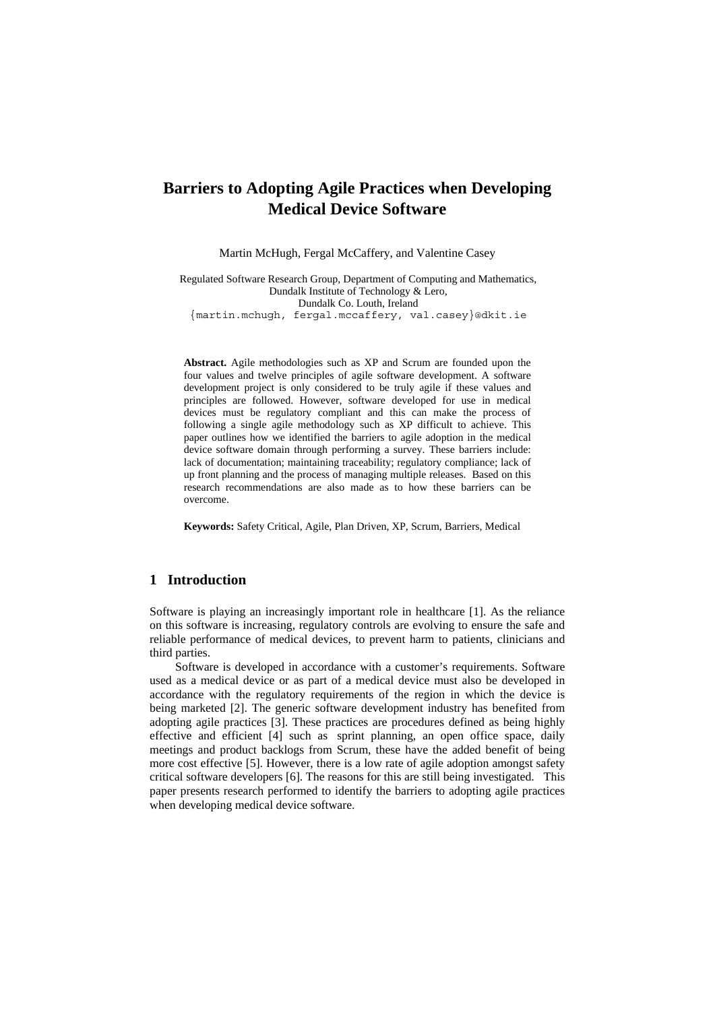# **Barriers to Adopting Agile Practices when Developing Medical Device Software**

Martin McHugh, Fergal McCaffery, and Valentine Casey

Regulated Software Research Group, Department of Computing and Mathematics, Dundalk Institute of Technology & Lero, Dundalk Co. Louth, Ireland {martin.mchugh, fergal.mccaffery, val.casey}@dkit.ie

**Abstract.** Agile methodologies such as XP and Scrum are founded upon the four values and twelve principles of agile software development. A software development project is only considered to be truly agile if these values and principles are followed. However, software developed for use in medical devices must be regulatory compliant and this can make the process of following a single agile methodology such as XP difficult to achieve. This paper outlines how we identified the barriers to agile adoption in the medical device software domain through performing a survey. These barriers include: lack of documentation; maintaining traceability; regulatory compliance; lack of up front planning and the process of managing multiple releases. Based on this research recommendations are also made as to how these barriers can be overcome.

**Keywords:** Safety Critical, Agile, Plan Driven, XP, Scrum, Barriers, Medical

# **1 Introduction**

Software is playing an increasingly important role in healthcare [1]. As the reliance on this software is increasing, regulatory controls are evolving to ensure the safe and reliable performance of medical devices, to prevent harm to patients, clinicians and third parties.

Software is developed in accordance with a customer's requirements. Software used as a medical device or as part of a medical device must also be developed in accordance with the regulatory requirements of the region in which the device is being marketed [2]. The generic software development industry has benefited from adopting agile practices [3]. These practices are procedures defined as being highly effective and efficient [4] such as sprint planning, an open office space, daily meetings and product backlogs from Scrum, these have the added benefit of being more cost effective [5]. However, there is a low rate of agile adoption amongst safety critical software developers [6]. The reasons for this are still being investigated. This paper presents research performed to identify the barriers to adopting agile practices when developing medical device software.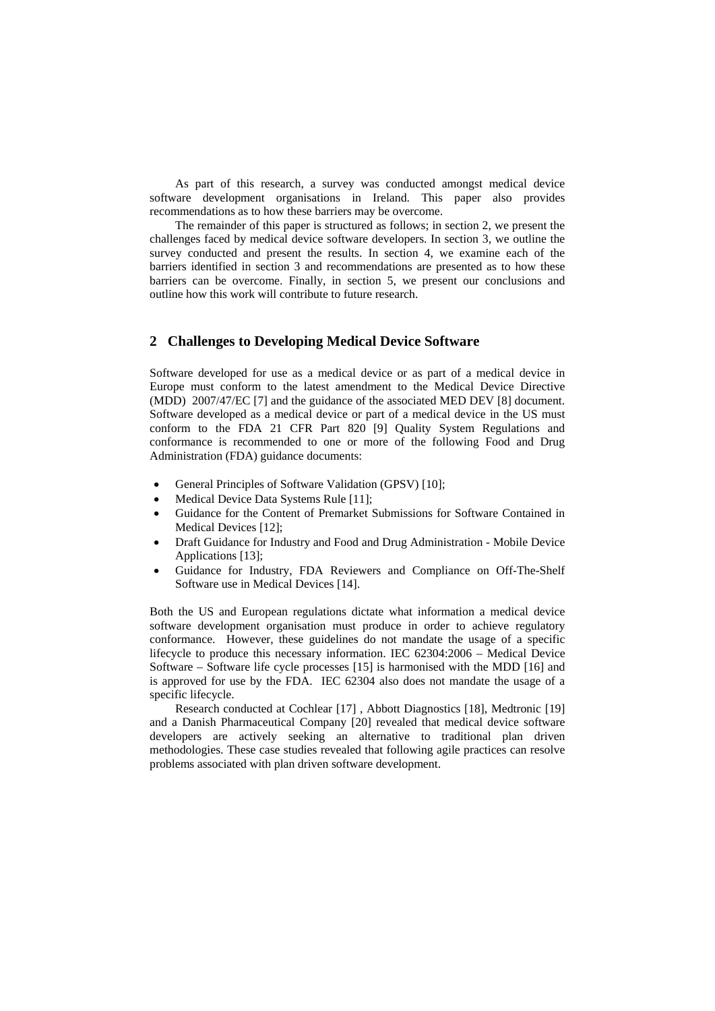As part of this research, a survey was conducted amongst medical device software development organisations in Ireland. This paper also provides recommendations as to how these barriers may be overcome.

The remainder of this paper is structured as follows; in section 2, we present the challenges faced by medical device software developers. In section 3, we outline the survey conducted and present the results. In section 4, we examine each of the barriers identified in section 3 and recommendations are presented as to how these barriers can be overcome. Finally, in section 5, we present our conclusions and outline how this work will contribute to future research.

# **2 Challenges to Developing Medical Device Software**

Software developed for use as a medical device or as part of a medical device in Europe must conform to the latest amendment to the Medical Device Directive (MDD) 2007/47/EC [7] and the guidance of the associated MED DEV [8] document. Software developed as a medical device or part of a medical device in the US must conform to the FDA 21 CFR Part 820 [9] Quality System Regulations and conformance is recommended to one or more of the following Food and Drug Administration (FDA) guidance documents:

- General Principles of Software Validation (GPSV) [10];
- Medical Device Data Systems Rule [11];
- Guidance for the Content of Premarket Submissions for Software Contained in Medical Devices [12];
- Draft Guidance for Industry and Food and Drug Administration Mobile Device Applications [13];
- Guidance for Industry, FDA Reviewers and Compliance on Off-The-Shelf Software use in Medical Devices [14].

Both the US and European regulations dictate what information a medical device software development organisation must produce in order to achieve regulatory conformance. However, these guidelines do not mandate the usage of a specific lifecycle to produce this necessary information. IEC 62304:2006 – Medical Device Software – Software life cycle processes [15] is harmonised with the MDD [16] and is approved for use by the FDA. IEC 62304 also does not mandate the usage of a specific lifecycle.

Research conducted at Cochlear [17] , Abbott Diagnostics [18], Medtronic [19] and a Danish Pharmaceutical Company [20] revealed that medical device software developers are actively seeking an alternative to traditional plan driven methodologies. These case studies revealed that following agile practices can resolve problems associated with plan driven software development.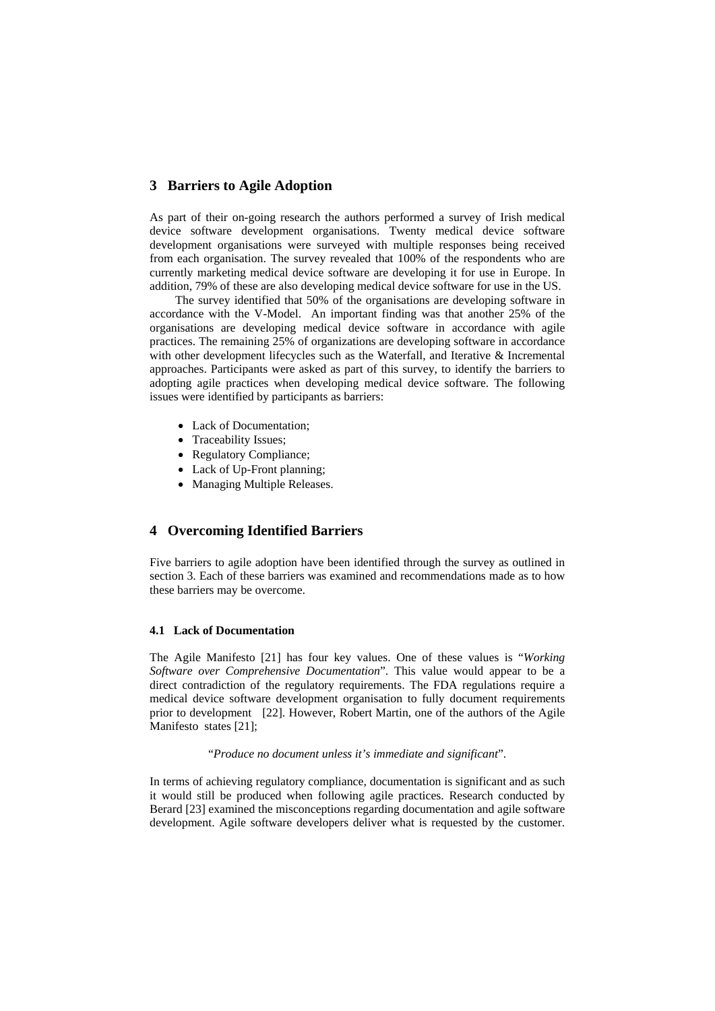## **3 Barriers to Agile Adoption**

As part of their on-going research the authors performed a survey of Irish medical device software development organisations. Twenty medical device software development organisations were surveyed with multiple responses being received from each organisation. The survey revealed that 100% of the respondents who are currently marketing medical device software are developing it for use in Europe. In addition, 79% of these are also developing medical device software for use in the US.

The survey identified that 50% of the organisations are developing software in accordance with the V-Model. An important finding was that another 25% of the organisations are developing medical device software in accordance with agile practices. The remaining 25% of organizations are developing software in accordance with other development lifecycles such as the Waterfall, and Iterative & Incremental approaches. Participants were asked as part of this survey, to identify the barriers to adopting agile practices when developing medical device software. The following issues were identified by participants as barriers:

- Lack of Documentation;
- Traceability Issues;
- Regulatory Compliance;
- Lack of Up-Front planning;
- Managing Multiple Releases.

# **4 Overcoming Identified Barriers**

Five barriers to agile adoption have been identified through the survey as outlined in section 3. Each of these barriers was examined and recommendations made as to how these barriers may be overcome.

#### **4.1 Lack of Documentation**

The Agile Manifesto [21] has four key values. One of these values is "*Working Software over Comprehensive Documentation*". This value would appear to be a direct contradiction of the regulatory requirements. The FDA regulations require a medical device software development organisation to fully document requirements prior to development [22]. However, Robert Martin, one of the authors of the Agile Manifesto states [21];

"*Produce no document unless it's immediate and significant*".

In terms of achieving regulatory compliance, documentation is significant and as such it would still be produced when following agile practices. Research conducted by Berard [23] examined the misconceptions regarding documentation and agile software development. Agile software developers deliver what is requested by the customer.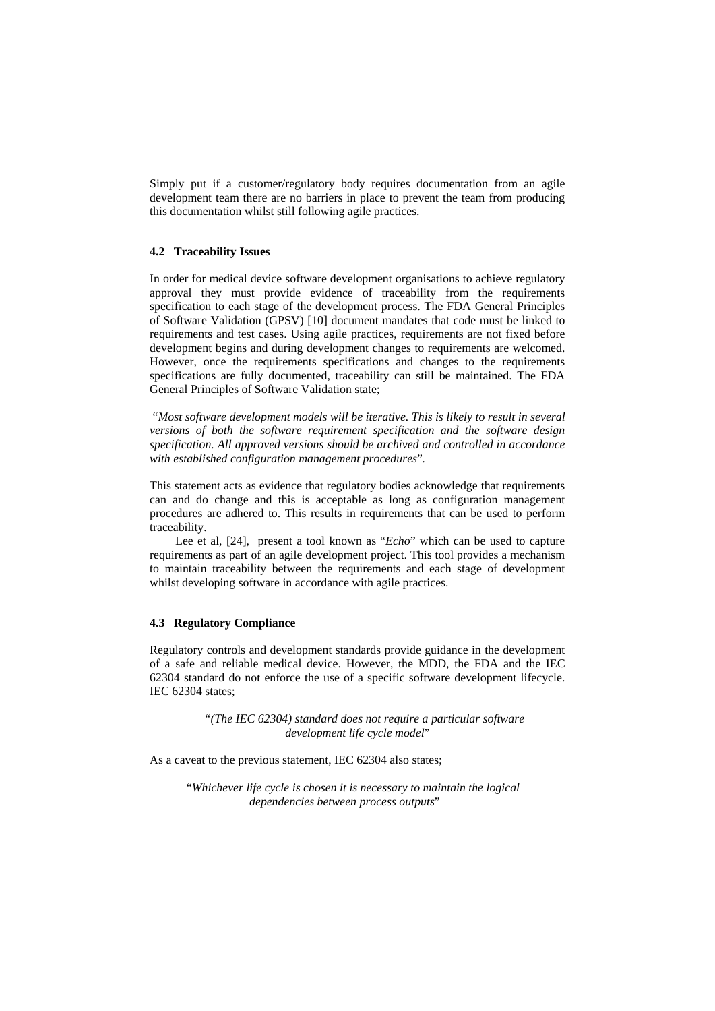Simply put if a customer/regulatory body requires documentation from an agile development team there are no barriers in place to prevent the team from producing this documentation whilst still following agile practices.

#### **4.2 Traceability Issues**

In order for medical device software development organisations to achieve regulatory approval they must provide evidence of traceability from the requirements specification to each stage of the development process. The FDA General Principles of Software Validation (GPSV) [10] document mandates that code must be linked to requirements and test cases. Using agile practices, requirements are not fixed before development begins and during development changes to requirements are welcomed. However, once the requirements specifications and changes to the requirements specifications are fully documented, traceability can still be maintained. The FDA General Principles of Software Validation state;

 "*Most software development models will be iterative. This is likely to result in several versions of both the software requirement specification and the software design specification. All approved versions should be archived and controlled in accordance with established configuration management procedures*"*.* 

This statement acts as evidence that regulatory bodies acknowledge that requirements can and do change and this is acceptable as long as configuration management procedures are adhered to. This results in requirements that can be used to perform traceability.

Lee et al, [24], present a tool known as "*Echo*" which can be used to capture requirements as part of an agile development project. This tool provides a mechanism to maintain traceability between the requirements and each stage of development whilst developing software in accordance with agile practices.

### **4.3 Regulatory Compliance**

Regulatory controls and development standards provide guidance in the development of a safe and reliable medical device. However, the MDD, the FDA and the IEC 62304 standard do not enforce the use of a specific software development lifecycle. IEC 62304 states;

> *"(The IEC 62304) standard does not require a particular software development life cycle model*"

As a caveat to the previous statement, IEC 62304 also states;

"*Whichever life cycle is chosen it is necessary to maintain the logical dependencies between process outputs*"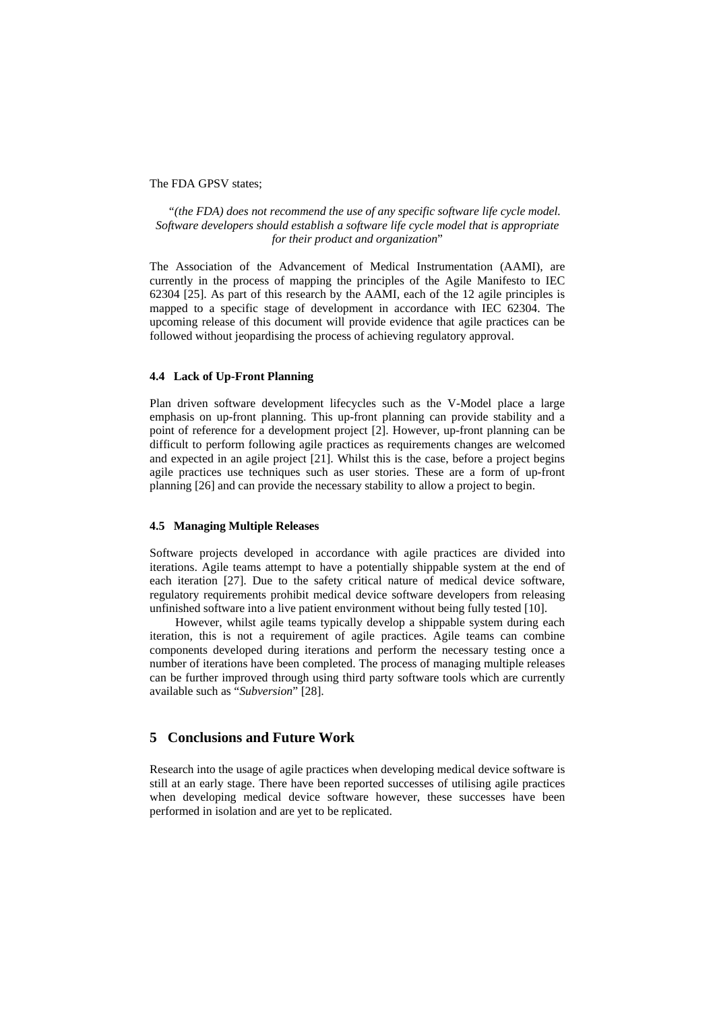### The FDA GPSV states;

### *"(the FDA) does not recommend the use of any specific software life cycle model. Software developers should establish a software life cycle model that is appropriate for their product and organization*"

The Association of the Advancement of Medical Instrumentation (AAMI), are currently in the process of mapping the principles of the Agile Manifesto to IEC 62304 [25]. As part of this research by the AAMI, each of the 12 agile principles is mapped to a specific stage of development in accordance with IEC 62304. The upcoming release of this document will provide evidence that agile practices can be followed without jeopardising the process of achieving regulatory approval.

#### **4.4 Lack of Up-Front Planning**

Plan driven software development lifecycles such as the V-Model place a large emphasis on up-front planning. This up-front planning can provide stability and a point of reference for a development project [2]. However, up-front planning can be difficult to perform following agile practices as requirements changes are welcomed and expected in an agile project [21]. Whilst this is the case, before a project begins agile practices use techniques such as user stories. These are a form of up-front planning [26] and can provide the necessary stability to allow a project to begin.

#### **4.5 Managing Multiple Releases**

Software projects developed in accordance with agile practices are divided into iterations. Agile teams attempt to have a potentially shippable system at the end of each iteration [27]. Due to the safety critical nature of medical device software, regulatory requirements prohibit medical device software developers from releasing unfinished software into a live patient environment without being fully tested [10].

However, whilst agile teams typically develop a shippable system during each iteration, this is not a requirement of agile practices. Agile teams can combine components developed during iterations and perform the necessary testing once a number of iterations have been completed. The process of managing multiple releases can be further improved through using third party software tools which are currently available such as "*Subversion*" [28].

### **5 Conclusions and Future Work**

Research into the usage of agile practices when developing medical device software is still at an early stage. There have been reported successes of utilising agile practices when developing medical device software however, these successes have been performed in isolation and are yet to be replicated.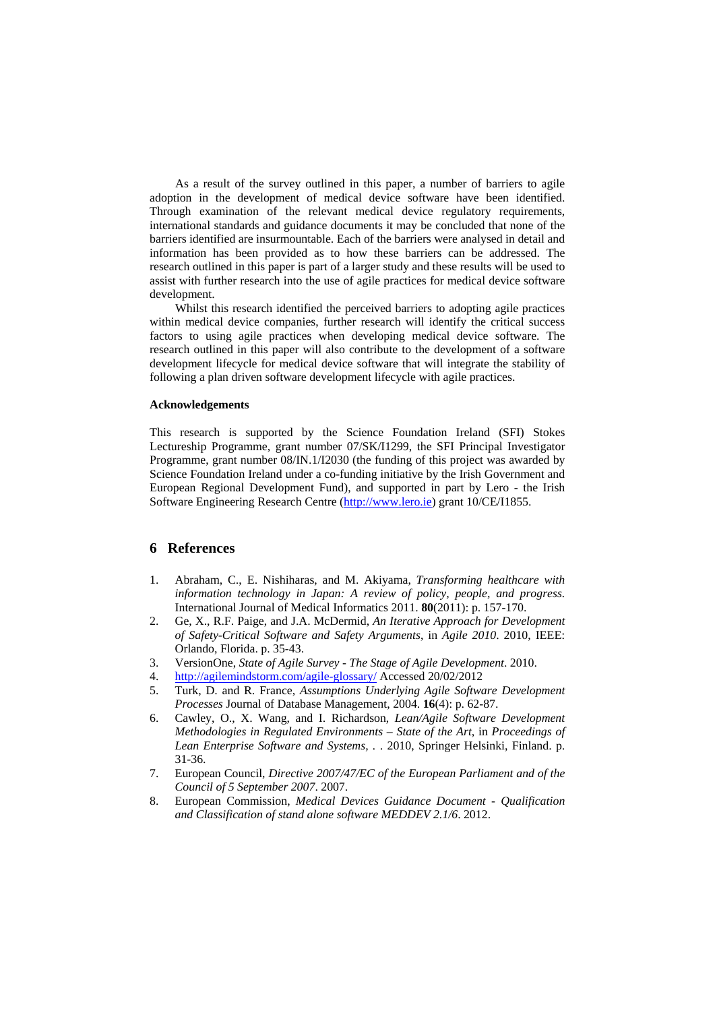As a result of the survey outlined in this paper, a number of barriers to agile adoption in the development of medical device software have been identified. Through examination of the relevant medical device regulatory requirements, international standards and guidance documents it may be concluded that none of the barriers identified are insurmountable. Each of the barriers were analysed in detail and information has been provided as to how these barriers can be addressed. The research outlined in this paper is part of a larger study and these results will be used to assist with further research into the use of agile practices for medical device software development.

Whilst this research identified the perceived barriers to adopting agile practices within medical device companies, further research will identify the critical success factors to using agile practices when developing medical device software. The research outlined in this paper will also contribute to the development of a software development lifecycle for medical device software that will integrate the stability of following a plan driven software development lifecycle with agile practices.

#### **Acknowledgements**

This research is supported by the Science Foundation Ireland (SFI) Stokes Lectureship Programme, grant number 07/SK/I1299, the SFI Principal Investigator Programme, grant number 08/IN.1/I2030 (the funding of this project was awarded by Science Foundation Ireland under a co-funding initiative by the Irish Government and European Regional Development Fund), and supported in part by Lero - the Irish Software Engineering Research Centre (http://www.lero.ie) grant 10/CE/I1855.

# **6 References**

- 1. Abraham, C., E. Nishiharas, and M. Akiyama, *Transforming healthcare with information technology in Japan: A review of policy, people, and progress.* International Journal of Medical Informatics 2011. **80**(2011): p. 157-170.
- 2. Ge, X., R.F. Paige, and J.A. McDermid, *An Iterative Approach for Development of Safety-Critical Software and Safety Arguments*, in *Agile 2010*. 2010, IEEE: Orlando, Florida. p. 35-43.
- 3. VersionOne, *State of Agile Survey The Stage of Agile Development*. 2010.
- 4. http://agilemindstorm.com/agile-glossary/ Accessed 20/02/2012
- 5. Turk, D. and R. France, *Assumptions Underlying Agile Software Development Processes* Journal of Database Management, 2004. **16**(4): p. 62-87.
- 6. Cawley, O., X. Wang, and I. Richardson, *Lean/Agile Software Development Methodologies in Regulated Environments – State of the Art*, in *Proceedings of Lean Enterprise Software and Systems, .* . 2010, Springer Helsinki, Finland. p. 31-36.
- 7. European Council, *Directive 2007/47/EC of the European Parliament and of the Council of 5 September 2007*. 2007.
- 8. European Commission, *Medical Devices Guidance Document Qualification and Classification of stand alone software MEDDEV 2.1/6*. 2012.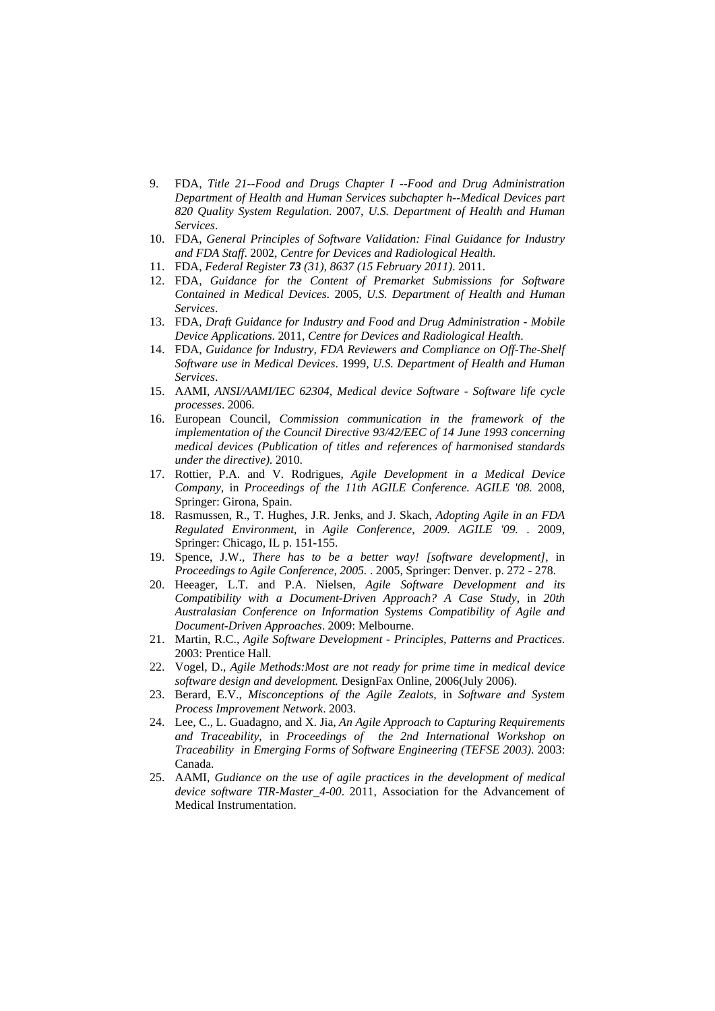- 9. FDA, *Title 21--Food and Drugs Chapter I --Food and Drug Administration Department of Health and Human Services subchapter h--Medical Devices part 820 Quality System Regulation*. 2007, *U.S. Department of Health and Human Services*.
- 10. FDA, *General Principles of Software Validation: Final Guidance for Industry and FDA Staff*. 2002, *Centre for Devices and Radiological Health*.
- 11. FDA, *Federal Register 73 (31), 8637 (15 February 2011)*. 2011.
- 12. FDA, *Guidance for the Content of Premarket Submissions for Software Contained in Medical Devices*. 2005, *U.S. Department of Health and Human Services*.
- 13. FDA, *Draft Guidance for Industry and Food and Drug Administration Mobile Device Applications*. 2011, *Centre for Devices and Radiological Health*.
- 14. FDA, *Guidance for Industry, FDA Reviewers and Compliance on Off-The-Shelf Software use in Medical Devices*. 1999, *U.S. Department of Health and Human Services*.
- 15. AAMI, *ANSI/AAMI/IEC 62304, Medical device Software Software life cycle processes*. 2006.
- 16. European Council, *Commission communication in the framework of the implementation of the Council Directive 93/42/EEC of 14 June 1993 concerning medical devices (Publication of titles and references of harmonised standards under the directive)*. 2010.
- 17. Rottier, P.A. and V. Rodrigues, *Agile Development in a Medical Device Company*, in *Proceedings of the 11th AGILE Conference. AGILE '08.* 2008, Springer: Girona, Spain.
- 18. Rasmussen, R., T. Hughes, J.R. Jenks, and J. Skach, *Adopting Agile in an FDA Regulated Environment*, in *Agile Conference, 2009. AGILE '09.* . 2009, Springer: Chicago, IL p. 151-155.
- 19. Spence, J.W., *There has to be a better way! [software development]*, in *Proceedings to Agile Conference, 2005.* . 2005, Springer: Denver. p. 272 - 278.
- 20. Heeager, L.T. and P.A. Nielsen, *Agile Software Development and its Compatibility with a Document-Driven Approach? A Case Study*, in *20th Australasian Conference on Information Systems Compatibility of Agile and Document-Driven Approaches*. 2009: Melbourne.
- 21. Martin, R.C., *Agile Software Development Principles, Patterns and Practices*. 2003: Prentice Hall.
- 22. Vogel, D., *Agile Methods:Most are not ready for prime time in medical device software design and development.* DesignFax Online, 2006(July 2006).
- 23. Berard, E.V., *Misconceptions of the Agile Zealots*, in *Software and System Process Improvement Network*. 2003.
- 24. Lee, C., L. Guadagno, and X. Jia, *An Agile Approach to Capturing Requirements and Traceability*, in *Proceedings of the 2nd International Workshop on Traceability in Emerging Forms of Software Engineering (TEFSE 2003)*. 2003: Canada.
- 25. AAMI, *Gudiance on the use of agile practices in the development of medical device software TIR-Master\_4-00*. 2011, Association for the Advancement of Medical Instrumentation.